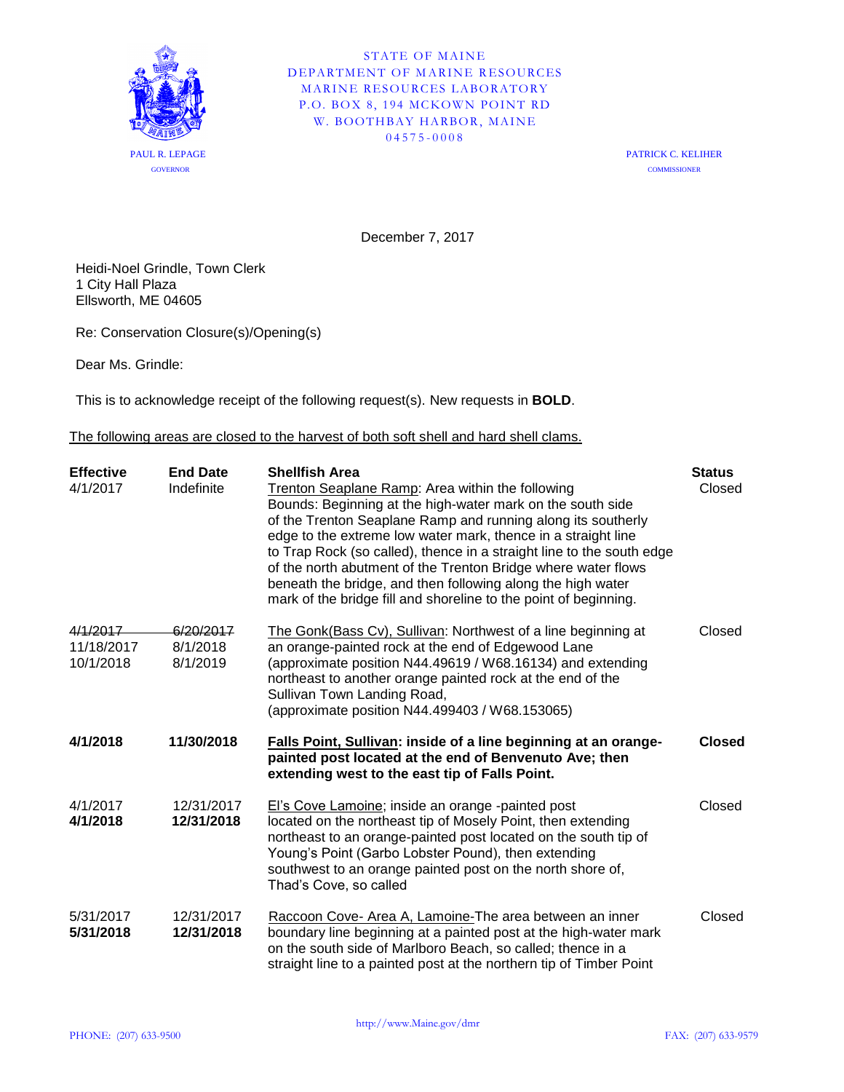

STATE OF MAINE DEPARTMENT OF MARINE RESOURCES MARINE RESOURCES LABORATORY P.O. BOX 8, 194 MCKOWN POINT RD W. BOOTHBAY HARBOR, MAINE 04575 - 0008

> PATRICK C. KELIHER **COMMISSIONER**

December 7, 2017

Heidi-Noel Grindle, Town Clerk 1 City Hall Plaza Ellsworth, ME 04605

Re: Conservation Closure(s)/Opening(s)

Dear Ms. Grindle:

This is to acknowledge receipt of the following request(s). New requests in **BOLD**.

The following areas are closed to the harvest of both soft shell and hard shell clams.

| <b>Effective</b><br>4/1/2017        | <b>End Date</b><br>Indefinite     | <b>Shellfish Area</b><br>Trenton Seaplane Ramp: Area within the following<br>Bounds: Beginning at the high-water mark on the south side<br>of the Trenton Seaplane Ramp and running along its southerly<br>edge to the extreme low water mark, thence in a straight line<br>to Trap Rock (so called), thence in a straight line to the south edge<br>of the north abutment of the Trenton Bridge where water flows<br>beneath the bridge, and then following along the high water<br>mark of the bridge fill and shoreline to the point of beginning. | <b>Status</b><br>Closed |
|-------------------------------------|-----------------------------------|-------------------------------------------------------------------------------------------------------------------------------------------------------------------------------------------------------------------------------------------------------------------------------------------------------------------------------------------------------------------------------------------------------------------------------------------------------------------------------------------------------------------------------------------------------|-------------------------|
| 4/1/2017<br>11/18/2017<br>10/1/2018 | 6/20/2017<br>8/1/2018<br>8/1/2019 | The Gonk(Bass Cv), Sullivan: Northwest of a line beginning at<br>an orange-painted rock at the end of Edgewood Lane<br>(approximate position N44.49619 / W68.16134) and extending<br>northeast to another orange painted rock at the end of the<br>Sullivan Town Landing Road,<br>(approximate position N44.499403 / W68.153065)                                                                                                                                                                                                                      | Closed                  |
| 4/1/2018                            | 11/30/2018                        | Falls Point, Sullivan: inside of a line beginning at an orange-<br>painted post located at the end of Benvenuto Ave; then<br>extending west to the east tip of Falls Point.                                                                                                                                                                                                                                                                                                                                                                           | <b>Closed</b>           |
| 4/1/2017<br>4/1/2018                | 12/31/2017<br>12/31/2018          | El's Cove Lamoine; inside an orange -painted post<br>located on the northeast tip of Mosely Point, then extending<br>northeast to an orange-painted post located on the south tip of<br>Young's Point (Garbo Lobster Pound), then extending<br>southwest to an orange painted post on the north shore of,<br>Thad's Cove, so called                                                                                                                                                                                                                   | Closed                  |
| 5/31/2017<br>5/31/2018              | 12/31/2017<br>12/31/2018          | Raccoon Cove- Area A, Lamoine-The area between an inner<br>boundary line beginning at a painted post at the high-water mark<br>on the south side of Marlboro Beach, so called; thence in a<br>straight line to a painted post at the northern tip of Timber Point                                                                                                                                                                                                                                                                                     | Closed                  |